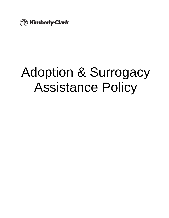

# Adoption & Surrogacy Assistance Policy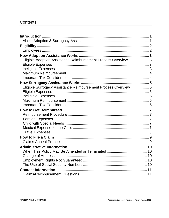# Contents

| Introduction                                                   |  |
|----------------------------------------------------------------|--|
|                                                                |  |
|                                                                |  |
|                                                                |  |
|                                                                |  |
| Eligible Adoption Assistance Reimbursement Process Overview  3 |  |
|                                                                |  |
|                                                                |  |
|                                                                |  |
|                                                                |  |
|                                                                |  |
| Eligible Surrogacy Assistance Reimbursement Process Overview 5 |  |
|                                                                |  |
|                                                                |  |
|                                                                |  |
|                                                                |  |
|                                                                |  |
|                                                                |  |
|                                                                |  |
|                                                                |  |
|                                                                |  |
|                                                                |  |
|                                                                |  |
|                                                                |  |
|                                                                |  |
|                                                                |  |
|                                                                |  |
|                                                                |  |
|                                                                |  |
|                                                                |  |
|                                                                |  |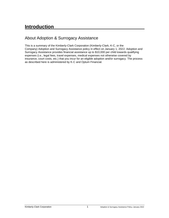# <span id="page-2-0"></span>**Introduction**

# <span id="page-2-1"></span>About Adoption & Surrogacy Assistance

This is a summary of the Kimberly-Clark Corporation (Kimberly-Clark, K-C, or the Company) Adoption and Surrogacy Assistance policy in effect on January 1, 2022. Adoption and Surrogacy Assistance provides financial assistance up to \$10,000 per child towards qualifying expenses (i.e., legal fees, travel expenses, medical expenses not otherwise covered by insurance, court costs, etc.) that you incur for an eligible adoption and/or surrogacy. The process as described here is administered by K-C and Optum Financial.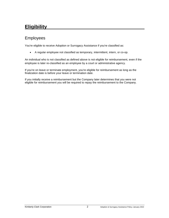# <span id="page-3-0"></span>**Eligibility**

## <span id="page-3-1"></span>Employees

You're eligible to receive Adoption or Surrogacy Assistance if you're classified as:

• A regular employee not classified as temporary, intermittent, intern, or co-op.

An individual who is not classified as defined above is not eligible for reimbursement, even if the employee is later re-classified as an employee by a court or administrative agency.

If you're on leave or terminate employment, you're eligible for reimbursement as long as the finalization date is before your leave or termination date.

If you initially receive a reimbursement but the Company later determines that you were not eligible for reimbursement you will be required to repay the reimbursement to the Company.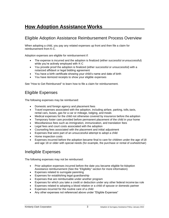# <span id="page-4-0"></span>**How Adoption Assistance Works**

# <span id="page-4-1"></span>Eligible Adoption Assistance Reimbursement Process Overview

When adopting a child, you pay any related expenses up front and then file a claim for reimbursement from K-C.

Adoption expenses are eligible for reimbursement if:

- The expense is incurred and the adoption is finalized (either successful orunsuccessful) while you're actively employed with K-C
- You provide proof the adoption is finalized (either successful or unsuccessful) with a notarized affidavit or legal bidding agreement
- You have a birth certificate showing your child's name and date of birth
- You have itemized receipts to show your eligible expenses

See "How to Get Reimbursed" to learn how to file a claim for reimbursement.

## <span id="page-4-2"></span>Eligible Expenses

The following expenses may be reimbursed:

- Domestic and foreign agency and placement fees
- Travel expenses associated with the adoption, including airfare, parking, tolls, taxis, rental cars, buses, gas for a car or mileage, lodging, and meals
- Medical expenses for the child not otherwise covered by insurance before the adoption
- Temporary foster care provided before permanent placement of the child in your home
- Miscellaneous fees such as immigration, immunization, and translation fees
- Legal fees and court costs associated with the adoption
- Counseling fees associated with the placement and initial adjustment
- Expenses that were part of an unsuccessful attempt to adopt a child
- Home inspection costs
- Expenses incurred before the adoption became final to care for children under the age of 18 and age 18 or older with special needs (for example, the purchase or rental of awheelchair)

#### <span id="page-4-3"></span>Ineligible Expenses

The following expenses may not be reimbursed:

- Prior adoption expenses incurred before the date you became eligible for Adoption Assistance reimbursement (See the "Eligibility" section for more information)
- Expenses related to surrogate parenting
- Expenses for establishing legal guardianship
- Expenses that are reimbursable under another program
- Expenses for which you take a credit or deduction under any other federal income tax rule
- Expenses related to adopting a blood relative or a child of spouse or domestic partner
- Expenses incurred for the routine care of a child
- Any other expenses not referenced above under "Eligible Expenses"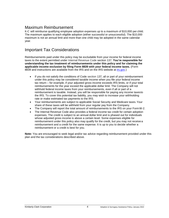## <span id="page-5-0"></span>Maximum Reimbursement

K-C will reimburse qualifying employee adoption expenses up to a maximum of \$10,000 per child. The maximum applies to each eligible adoption (either successful or unsuccessful). The \$10,000 maximum is not an annual limit and more than one child may be adopted in the same calendar year.

# <span id="page-5-1"></span>Important Tax Considerations

Reimbursements paid under this policy may be excludable from your income for federal income taxes to the extent permitted under Internal Revenue Code section 137. **You're responsible for understanding the tax treatment of reimbursements under this policy and for claiming the applicable income exclusion by filing Form 8839 with your federal income taxes.** (Form 8839 and instructions are available from the IRS and on the IRS website at [irs.gov.\)](http://www.irs.gov/)

- If you do not satisfy the conditions of Code section 137, all or part of your reimbursement under this policy may be considered taxable income when you file your federal income tax return – for example, if your adjusted gross income exceeds IRS limits, or if your total reimbursements for the year exceed the applicable dollar limit. The Company will not withhold federal income taxes from your reimbursements, even if all or part of a reimbursement is taxable. Instead, you will be responsible for paying any income taxesto the IRS. To cover this potential tax liability, you may wish to increase your withholding rate or make estimated tax payments to the IRS.
- Your reimbursements are subject to applicable Social Security and Medicare taxes.Your share of these taxes will be withheld from your regular pay from the Company.
- The Company will report the total amount of reimbursements to the IRS on your FormW-2.
- The Internal Revenue Code also provides a federal income tax credit for certain adoption expenses. The credit is subject to an annual dollar limit and is phased out for individuals whose adjusted gross income is above a certain level. Some expenses eligible for reimbursement under this policy also may qualify for the credit, but you may not receive a reimbursement and a credit for the same expense. It is up to you to decide whether a reimbursement or a credit is best for you.

**Note:** You are encouraged to seek legal and/or tax advice regarding reimbursement provided under this plan and the tax considerations described above.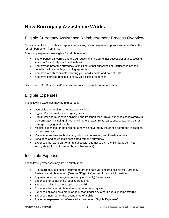# <span id="page-6-0"></span>**How Surrogacy Assistance Works**

# <span id="page-6-1"></span>Eligible Surrogacy Assistance Reimbursement Process Overview

Once your child is born via surrogate, you pay any related expenses up front and then file a claim for reimbursement from K-C.

Surrogacy expenses are eligible for reimbursement if:

- The expense is incurred and the surrogacy is finalized (either successful or unsuccessful) while you're actively employed with K-C
- You provide proof the surrogacy is finalized (either successful or unsuccessful) with a notarized affidavit or legal bidding agreement
- You have a birth certificate showing your child's name and date of birth
- You have itemized receipts to show your eligible expenses

See "How to Get Reimbursed" to learn how to file a claim for reimbursement.

#### <span id="page-6-2"></span>Eligible Expenses

The following expenses may be reimbursed:

- Domestic and foreign surrogate agency fees
- Egg and/or sperm donation agency fees
- Egg and/or sperm donation shipping and transport fees. Travel expenses associatedwith the surrogacy, including airfare, parking, tolls, taxis, rental cars, buses, gas for a car or mileage, lodging, and meals
- Medical expenses for the child not otherwise covered by insurance before the finalization of the surrogacy
- Miscellaneous fees such as immigration, immunization, and translation fees
- Legal fees and court costs associated with the surrogacy
- Expenses that were part of an unsuccessful attempt to gain a child that is born via surrogate (only if not covered by another source)

#### <span id="page-6-3"></span>Ineligible Expenses

The following expenses may not be reimbursed:

- Prior surrogacy expenses incurred before the date you became eligible for Surrogacy Assistance reimbursement (See the "Eligibility" section for more information)
- Payment(s) to the surrogate (indirectly or directly) for services
- Expenses for establishing legal guardianship
- Expenses related to the adoption of a child
- Expenses that are reimbursable under another program
- Expenses allowed as a credit or deduction under any other Federal income tax rule
- Expenses incurred for the routine care of a child
- Any other expenses not referenced above under "Eligible Expenses"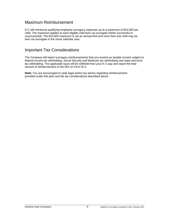## Maximum Reimbursement

K-C will reimburse qualifying employee surrogacy expenses up to a maximum of \$10,000 per child. The maximum applies to each eligible child born via surrogate (either successful or unsuccessful). The \$10,000 maximum is not an annual limit and more than one child may be born via surrogate in the same calendar year.

### <span id="page-7-0"></span>Important Tax Considerations

The Company will report surrogacy reimbursements that you receive as taxable income subject to federal income tax withholding, Social Security and Medicare tax withholding and state and local tax withholding. The applicable taxes will be withheld from your K-C pay and report the total amount of reimbursement to the IRS on Form W-2.

**Note:** You are encouraged to seek legal and/or tax advice regarding reimbursement provided under this plan and the tax considerations described above.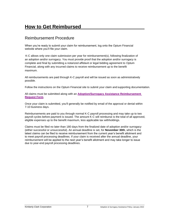# <span id="page-8-0"></span>**How to Get Reimbursed**

### <span id="page-8-1"></span>Reimbursement Procedure

When you're ready to submit your claim for reimbursement, log onto the Optum Financial website where you'll file your claim.

K-C allows only one claim submission per year for reimbursement(s), following finalization of an adoption and/or surrogacy. You must provide proof that the adoption and/or surrogacy is complete and final by submitting a notarized affidavit or legal bidding agreement to Optum Financial, along with any incurred claims to receive reimbursement up to the benefit maximum.

All reimbursements are paid through K-C payroll and will be issued as soon as administratively possible.

Follow the instructions on the Optum Financial site to submit your claim and supporting documentation.

All claims must be submitted along with an **[Adoption/Surrogacy Assistance Reimbursement](https://assets.ctfassets.net/ad8qm0w7pnr8/wijqwh7lQxz4UEJy29YLY/53d87e30fc78e4fa078af071237a2284/Adoption_Surrogacy_Assistance_Reimbursement_Request_FINAL.pdf)  [Request](https://assets.ctfassets.net/ad8qm0w7pnr8/wijqwh7lQxz4UEJy29YLY/53d87e30fc78e4fa078af071237a2284/Adoption_Surrogacy_Assistance_Reimbursement_Request_FINAL.pdf) Form**.

Once your claim is submitted, you'll generally be notified by email of the approval or denial within 7-10 business days.

Reimbursements are paid to you through normal K-C payroll processing and may take up to two payroll cycles before payment is issued. The amount K-C will reimburse is the total of all approved, eligible expenses up to the benefit maximum, less applicable tax withholdings.

Claims must be filed no later than 180 days from the finalized date of adoption and/or surrogacy (either successful or unsuccessful). An annual deadline is set, for **November 30th**, which is the latest claims can be filed to receive reimbursement from the current year's benefit allotment and to meet payroll processing deadlines. If your claim is received after the annual deadline, your reimbursement will be applied to the next year's benefit allotment and may take longer to issue due to year-end payroll processing deadlines.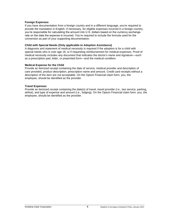#### **Foreign Expenses**

If you have documentation from a foreign country and in a different language, you're required to provide the translation in English. If necessary, for eligible expenses incurred in a foreign country, you're responsible for calculating the amount into U.S. dollars based on the currency exchange rate on the date the expense is incurred. You're required to include the formula used for the conversion as part of your supporting documentation.

#### <span id="page-9-0"></span>**Child with Special Needs (Only applicable to Adoption Assistance)**

A diagnosis and statement of medical necessity is required if the adoption is for a child with special needs who is over age 18, or if requesting reimbursement for medical expenses. Proof of medical necessity includes any document that indicates the doctor's name and signature—such as a prescription pad, letter, or preprinted form—and the medical condition.

#### <span id="page-9-1"></span>**Medical Expense for the Child**

Provide an itemized receipt containing the date of service, medical provider and description of care provided, product description, prescription name and amount. Credit card receipts without a description of the item are not acceptable. On the Optum Financial claim form, you, the employee, should be identified as the provider.

#### **Travel Expenses**

Provide an itemized receipt containing the date(s) of travel, travel provider (i.e., taxi service, parking, airline), and type of expense and amount (i.e., lodging). On the Optum Financial claim form, you, the employee, should be identified as the provider.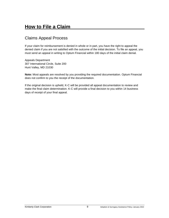# <span id="page-10-0"></span>**How to File a Claim**

# <span id="page-10-1"></span>Claims Appeal Process

If your claim for reimbursement is denied in whole or in part, you have the right to appeal the denied claim if you are not satisfied with the outcome of the initial decision. To file an appeal, you must send an appeal in writing to Optum Financial within 180 days of the initial claim denial.

Appeals Department 307 International Circle, Suite 200 Hunt Valley, MD 21030

**Note:** Most appeals are resolved by you providing the required documentation. Optum Financial does not confirm to you the receipt of the documentation.

If the original decision is upheld, K-C will be provided all appeal documentation to review and make the final claim determination. K-C will provide a final decision to you within 14 business days of receipt of your final appeal.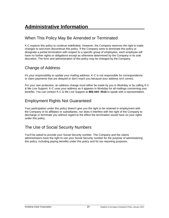# <span id="page-11-0"></span>**Administrative Information**

# <span id="page-11-1"></span>When This Policy May Be Amended or Terminated

K-C expects this policy to continue indefinitely. However, the Company reserves the right to make changes to and even discontinue this policy. If the Company were to terminate this policy or designate a partial termination with respect to a specific group of employees, each employee will have no further rights or obligations except as otherwise determined by the Company in its sole discretion. The form and administration of this policy may be changed by the Company.

# <span id="page-11-2"></span>Change of Address

It's your responsibility to update your mailing address. K-C is not responsible for correspondence or claim payments that are delayed or don't reach you because your address isn't correct.

For your own protection, an address change must either be made by you in Workday or by calling K-C & Me Live Support. K-C uses your address as it appears in Workday for all mailings concerning your benefits. You can contact K-C & Me Live Support at **866-444- 4516** to speak with a representative.

# <span id="page-11-3"></span>Employment Rights Not Guaranteed

Your participation under this policy doesn't give you the right to be retained in employment with the Company or its affiliates or subsidiaries, nor does it interfere with the right of the Company to discharge or terminate you without regard to the effect the termination would have on your rights under this policy.

# <span id="page-11-4"></span>The Use of Social Security Numbers

You'll be asked to provide your Social Security number. The Company and the claims administrators have the right to use your Social Security number for the purpose of administering this policy, including paying benefits under this policy and for tax-reporting purposes.